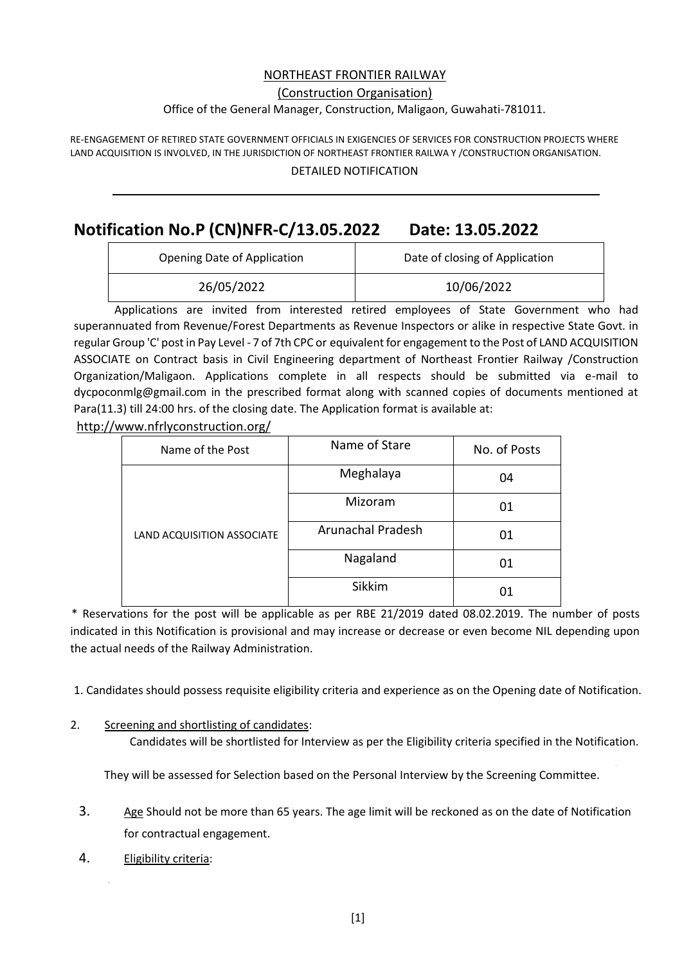## NORTHEAST FRONTIER RAILWAY

#### (Construction Organisation)

#### Office of the General Manager, Construction, Maligaon, Guwahati-781011.

RE-ENGAGEMENT OF RETIRED STATE GOVERNMENT OFFICIALS IN EXIGENCIES OF SERVICES FOR CONSTRUCTION PROJECTS WHERE LAND ACQUISITION IS INVOLVED, IN THE JURISDICTION OF NORTHEAST FRONTIER RAILWA Y /CONSTRUCTION ORGANISATION.

DETAILED NOTIFICATION

# **Notification No.P (CN)NFR-C/13.05.2022 Date: 13.05.2022**

| Opening Date of Application | Date of closing of Application |  |  |  |
|-----------------------------|--------------------------------|--|--|--|
| 26/05/2022                  | 10/06/2022                     |  |  |  |

Applications are invited from interested retired employees of State Government who had superannuated from Revenue/Forest Departments as Revenue Inspectors or alike in respective State Govt. in regular Group 'C' post in Pay Level - 7 of 7th CPC or equivalent for engagement to the Post of LAND ACQUISITION ASSOCIATE on Contract basis in Civil Engineering department of Northeast Frontier Railway /Construction Organization/Maligaon. Applications complete in all respects should be submitted via e-mail to dycpoconmlg@gmail.com in the prescribed format along with scanned copies of documents mentioned at Para(11.3) till 24:00 hrs. of the closing date. The Application format is available at:

http://www.nfrlyconstruction.org/

|  | Name of the Post           | Name of Stare            | No. of Posts |
|--|----------------------------|--------------------------|--------------|
|  |                            | Meghalaya                | 04           |
|  |                            | Mizoram                  | 01           |
|  | LAND ACQUISITION ASSOCIATE | <b>Arunachal Pradesh</b> | 01           |
|  |                            | Nagaland                 | 01           |
|  |                            | Sikkim                   | 01           |

\* Reservations for the post will be applicable as per RBE 21/2019 dated 08.02.2019. The number of posts indicated in this Notification is provisional and may increase or decrease or even become NIL depending upon the actual needs of the Railway Administration.

- 1. Candidates should possess requisite eligibility criteria and experience as on the Opening date of Notification.
- 2. Screening and shortlisting of candidates:

Candidates will be shortlisted for Interview as per the Eligibility criteria specified in the Notification.

They will be assessed for Selection based on the Personal Interview by the Screening Committee.

- 3. Age Should not be more than 65 years. The age limit will be reckoned as on the date of Notification for contractual engagement.
- 4. Eligibility criteria: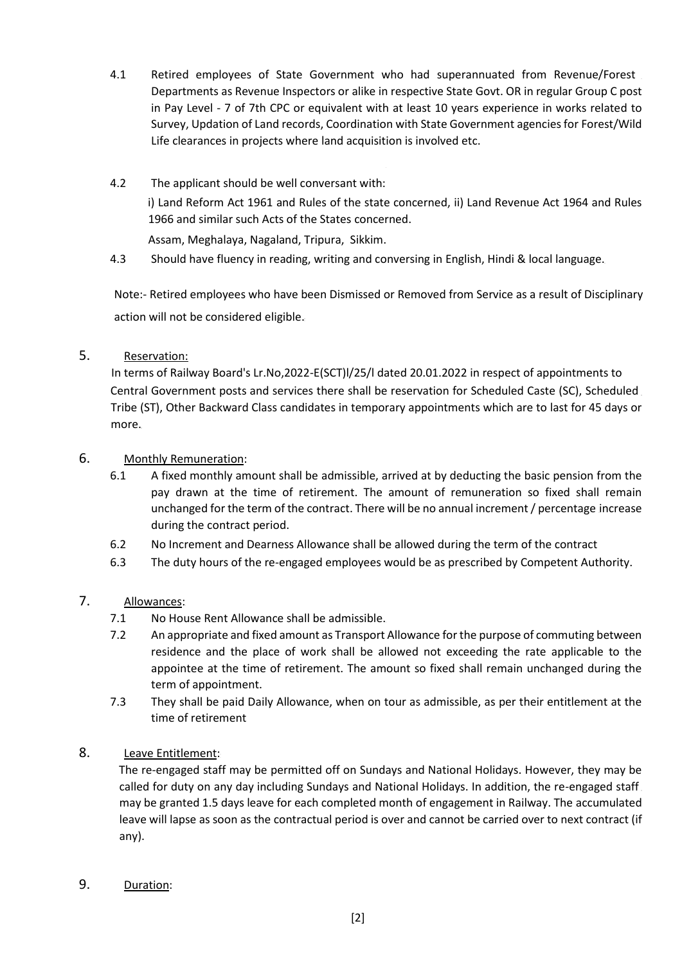- 4.1 Retired employees of State Government who had superannuated from Revenue/Forest Departments as Revenue Inspectors or alike in respective State Govt. OR in regular Group C post in Pay Level - 7 of 7th CPC or equivalent with at least 10 years experience in works related to Survey, Updation of Land records, Coordination with State Government agencies for Forest/Wild Life clearances in projects where land acquisition is involved etc.
- 4.2 The applicant should be well conversant with: i) Land Reform Act 1961 and Rules of the state concerned, ii) Land Revenue Act 1964 and Rules 1966 and similar such Acts of the States concerned. Assam, Meghalaya, Nagaland, Tripura, Sikkim.
- 4.3 Should have fluency in reading, writing and conversing in English, Hindi & local language.

Note:- Retired employees who have been Dismissed or Removed from Service as a result of Disciplinary action will not be considered eligible.

5. Reservation:

In terms of Railway Board's Lr.No,2022-E(SCT)l/25/l dated 20.01.2022 in respect of appointments to Central Government posts and services there shall be reservation for Scheduled Caste (SC), Scheduled Tribe (ST), Other Backward Class candidates in temporary appointments which are to last for 45 days or more.

- 6. Monthly Remuneration:
	- 6.1 A fixed monthly amount shall be admissible, arrived at by deducting the basic pension from the pay drawn at the time of retirement. The amount of remuneration so fixed shall remain unchanged for the term of the contract. There will be no annual increment / percentage increase during the contract period.
	- 6.2 No Increment and Dearness Allowance shall be allowed during the term of the contract
	- 6.3 The duty hours of the re-engaged employees would be as prescribed by Competent Authority.

## 7. Allowances:

- 7.1 No House Rent Allowance shall be admissible.
- 7.2 An appropriate and fixed amount as Transport Allowance for the purpose of commuting between residence and the place of work shall be allowed not exceeding the rate applicable to the appointee at the time of retirement. The amount so fixed shall remain unchanged during the term of appointment.
- 7.3 They shall be paid Daily Allowance, when on tour as admissible, as per their entitlement at the time of retirement
- 8. Leave Entitlement:

The re-engaged staff may be permitted off on Sundays and National Holidays. However, they may be called for duty on any day including Sundays and National Holidays. In addition, the re-engaged staff may be granted 1.5 days leave for each completed month of engagement in Railway. The accumulated leave will lapse as soon as the contractual period is over and cannot be carried over to next contract (if any).

9. Duration: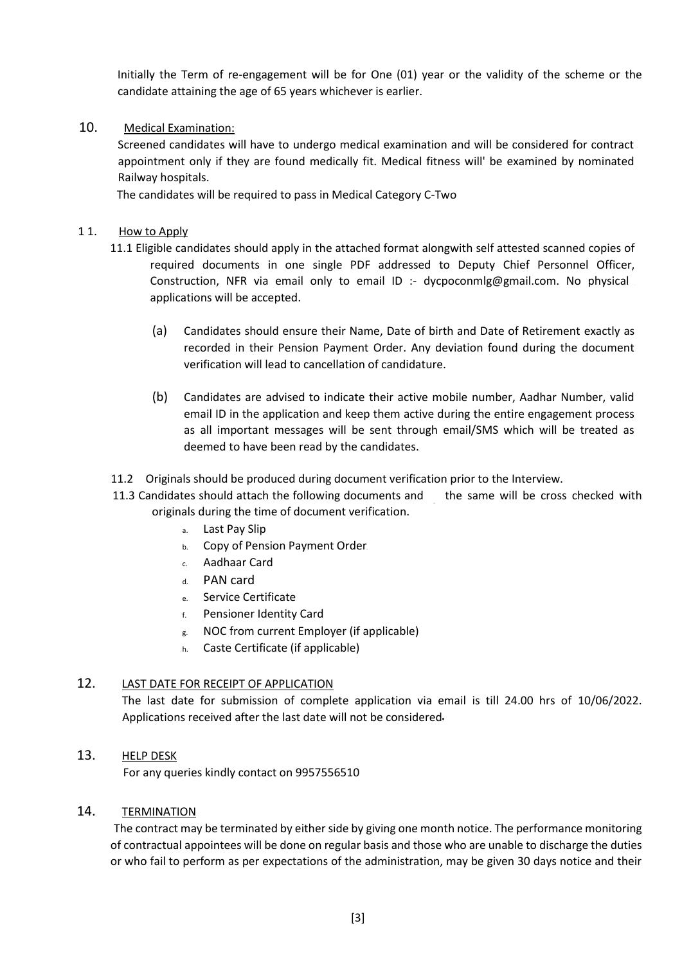Initially the Term of re-engagement will be for One (01) year or the validity of the scheme or the candidate attaining the age of 65 years whichever is earlier.

### 10. Medical Examination:

Screened candidates will have to undergo medical examination and will be considered for contract appointment only if they are found medically fit. Medical fitness will' be examined by nominated Railway hospitals.

The candidates will be required to pass in Medical Category C-Two

#### 11. How to Apply

- 11.1 Eligible candidates should apply in the attached format alongwith self attested scanned copies of required documents in one single PDF addressed to Deputy Chief Personnel Officer, Construction, NFR via email only to email ID :- dycpoconmlg@gmail.com. No physical . applications will be accepted.
	- (a) Candidates should ensure their Name, Date of birth and Date of Retirement exactly as recorded in their Pension Payment Order. Any deviation found during the document verification will lead to cancellation of candidature.
	- (b) Candidates are advised to indicate their active mobile number, Aadhar Number, valid email ID in the application and keep them active during the entire engagement process as all important messages will be sent through email/SMS which will be treated as deemed to have been read by the candidates.
- 11.2 Originals should be produced during document verification prior to the Interview.
- 11.3 Candidates should attach the following documents and the same will be cross checked with originals during the time of document verification.
	- a. Last Pay Slip
	- b. Copy of Pension Payment Order
	- c. Aadhaar Card
	- d. PAN card
	- e. Service Certificate
	- f. Pensioner Identity Card
	- g. NOC from current Employer (if applicable)
	- h. Caste Certificate (if applicable)

## 12. LAST DATE FOR RECEIPT OF APPLICATION

The last date for submission of complete application via email is till 24.00 hrs of 10/06/2022. Applications received after the last date will not be considered

#### 13. HELP DESK

For any queries kindly contact on 9957556510

#### 14. TERMINATION

The contract may be terminated by either side by giving one month notice. The performance monitoring of contractual appointees will be done on regular basis and those who are unable to discharge the duties or who fail to perform as per expectations of the administration, may be given 30 days notice and their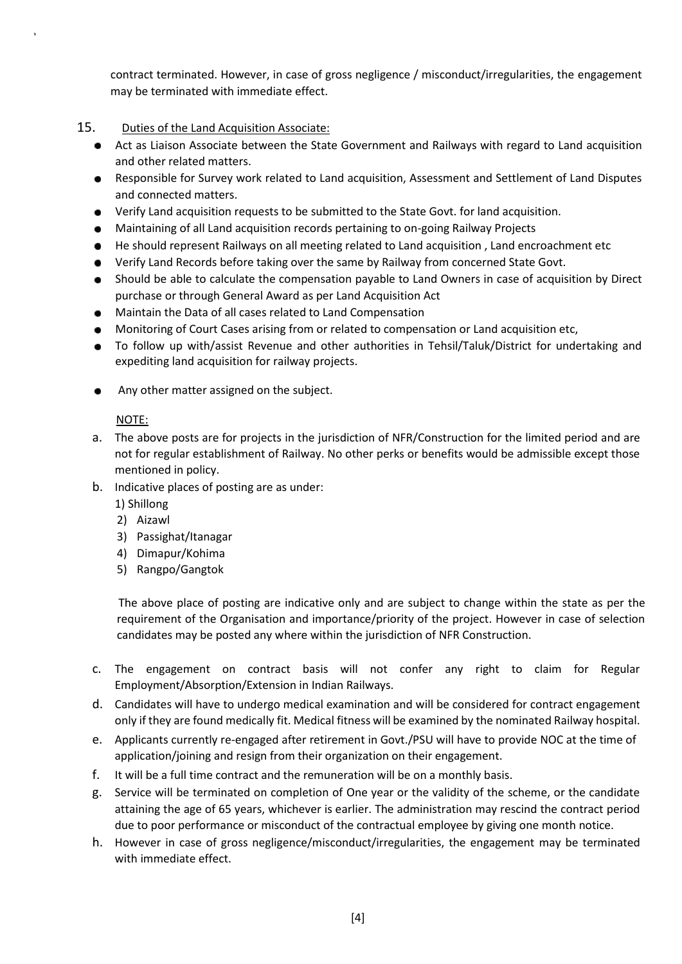contract terminated. However, in case of gross negligence / misconduct/irregularities, the engagement may be terminated with immediate effect.

## 15. Duties of the Land Acquisition Associate:

- $\bullet$ Act as Liaison Associate between the State Government and Railways with regard to Land acquisition and other related matters.
- Responsible for Survey work related to Land acquisition, Assessment and Settlement of Land Disputes  $\bullet$ and connected matters.
- Verify Land acquisition requests to be submitted to the State Govt. for land acquisition.
- Maintaining of all Land acquisition records pertaining to on-going Railway Projects
- He should represent Railways on all meeting related to Land acquisition , Land encroachment etc
- Verify Land Records before taking over the same by Railway from concerned State Govt.
- Should be able to calculate the compensation payable to Land Owners in case of acquisition by Direct purchase or through General Award as per Land Acquisition Act
- Maintain the Data of all cases related to Land Compensation
- Monitoring of Court Cases arising from or related to compensation or Land acquisition etc,
- To follow up with/assist Revenue and other authorities in Tehsil/Taluk/District for undertaking and expediting land acquisition for railway projects.
- Any other matter assigned on the subject.  $\bullet$

## NOTE:

- a. The above posts are for projects in the jurisdiction of NFR/Construction for the limited period and are not for regular establishment of Railway. No other perks or benefits would be admissible except those mentioned in policy.
- b. Indicative places of posting are as under:

1) Shillong

- 2) Aizawl
- 3) Passighat/Itanagar
- 4) Dimapur/Kohima
- 5) Rangpo/Gangtok

The above place of posting are indicative only and are subject to change within the state as per the requirement of the Organisation and importance/priority of the project. However in case of selection candidates may be posted any where within the jurisdiction of NFR Construction.

- c. The engagement on contract basis will not confer any right to claim for Regular Employment/Absorption/Extension in Indian Railways.
- d. Candidates will have to undergo medical examination and will be considered for contract engagement only if they are found medically fit. Medical fitness will be examined by the nominated Railway hospital.
- e. Applicants currently re-engaged after retirement in Govt./PSU will have to provide NOC at the time of application/joining and resign from their organization on their engagement.
- f. It will be a full time contract and the remuneration will be on a monthly basis.
- g. Service will be terminated on completion of One year or the validity of the scheme, or the candidate attaining the age of 65 years, whichever is earlier. The administration may rescind the contract period due to poor performance or misconduct of the contractual employee by giving one month notice.
- h. However in case of gross negligence/misconduct/irregularities, the engagement may be terminated with immediate effect.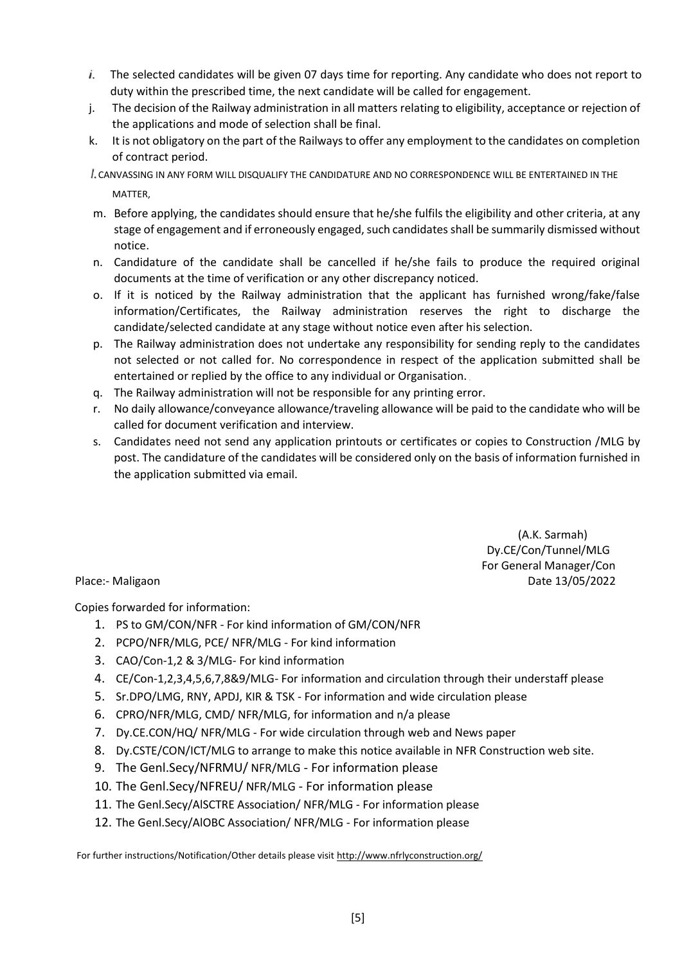- $i.$  The selected candidates will be given 07 days time for reporting. Any candidate who does not report to duty within the prescribed time, the next candidate will be called for engagement.
- j. The decision of the Railway administration in all matters relating to eligibility, acceptance or rejection of the applications and mode of selection shall be final.
- k. It is not obligatory on the part of the Railways to offer any employment to the candidates on completion of contract period.
- CANVASSING IN ANY FORM WILL DISQUALIFY THE CANDIDATURE AND NO CORRESPONDENCE WILL BE ENTERTAINED IN THE MATTER,
- m. Before applying, the candidates should ensure that he/she fulfils the eligibility and other criteria, at any stage of engagement and if erroneously engaged, such candidates shall be summarily dismissed without notice.
- n. Candidature of the candidate shall be cancelled if he/she fails to produce the required original documents at the time of verification or any other discrepancy noticed.
- o. If it is noticed by the Railway administration that the applicant has furnished wrong/fake/false information/Certificates, the Railway administration reserves the right to discharge the candidate/selected candidate at any stage without notice even after his selection.
- p. The Railway administration does not undertake any responsibility for sending reply to the candidates not selected or not called for. No correspondence in respect of the application submitted shall be entertained or replied by the office to any individual or Organisation.
- q. The Railway administration will not be responsible for any printing error.
- r. No daily allowance/conveyance allowance/traveling allowance will be paid to the candidate who will be called for document verification and interview.
- s. Candidates need not send any application printouts or certificates or copies to Construction /MLG by post. The candidature of the candidates will be considered only on the basis of information furnished in the application submitted via email.

 (A.K. Sarmah) Dy.CE/Con/Tunnel/MLG For General Manager/Con Place:- Maligaon Date 13/05/2022

Copies forwarded for information:

- 1. PS to GM/CON/NFR For kind information of GM/CON/NFR
- 2. PCPO/NFR/MLG, PCE/ NFR/MLG For kind information
- 3. CAO/Con-1,2 & 3/MLG- For kind information
- 4. CE/Con-1,2,3,4,5,6,7,8&9/MLG- For information and circulation through their understaff please
- 5. Sr.DPO/LMG, RNY, APDJ, KIR & TSK For information and wide circulation please
- 6. CPRO/NFR/MLG, CMD/ NFR/MLG, for information and n/a please
- 7. Dy.CE.CON/HQ/ NFR/MLG For wide circulation through web and News paper
- 8. Dy.CSTE/CON/ICT/MLG to arrange to make this notice available in NFR Construction web site.
- 9. The Genl.Secy/NFRMU/ NFR/MLG For information please
- 10. The Genl.Secy/NFREU/ NFR/MLG For information please
- 11. The Genl.Secy/AlSCTRE Association/ NFR/MLG For information please
- 12. The Genl.Secy/AlOBC Association/ NFR/MLG For information please

For further instructions/Notification/Other details please visit http://www.nfrlyconstruction.org/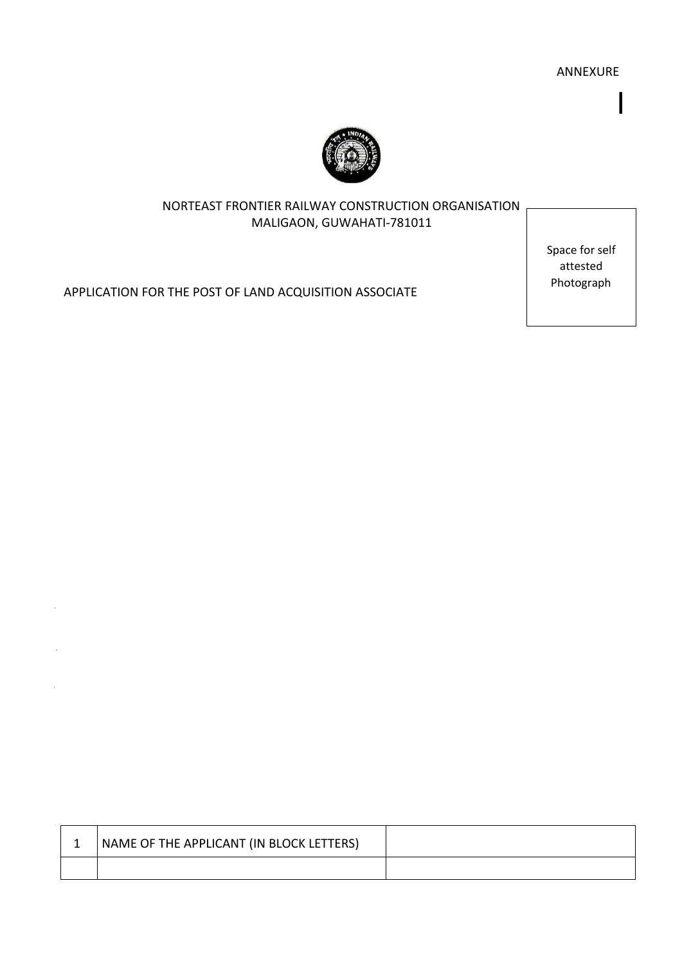ANNEXURE

I



# NORTEAST FRONTIER RAILWAY CONSTRUCTION ORGANISATION MALIGAON, GUWAHATI-781011

Space for self attested Photograph

APPLICATION FOR THE POST OF LAND ACQUISITION ASSOCIATE

 $\bar{z}$ 

| NAME OF THE APPLICANT (IN BLOCK LETTERS) |  |
|------------------------------------------|--|
|                                          |  |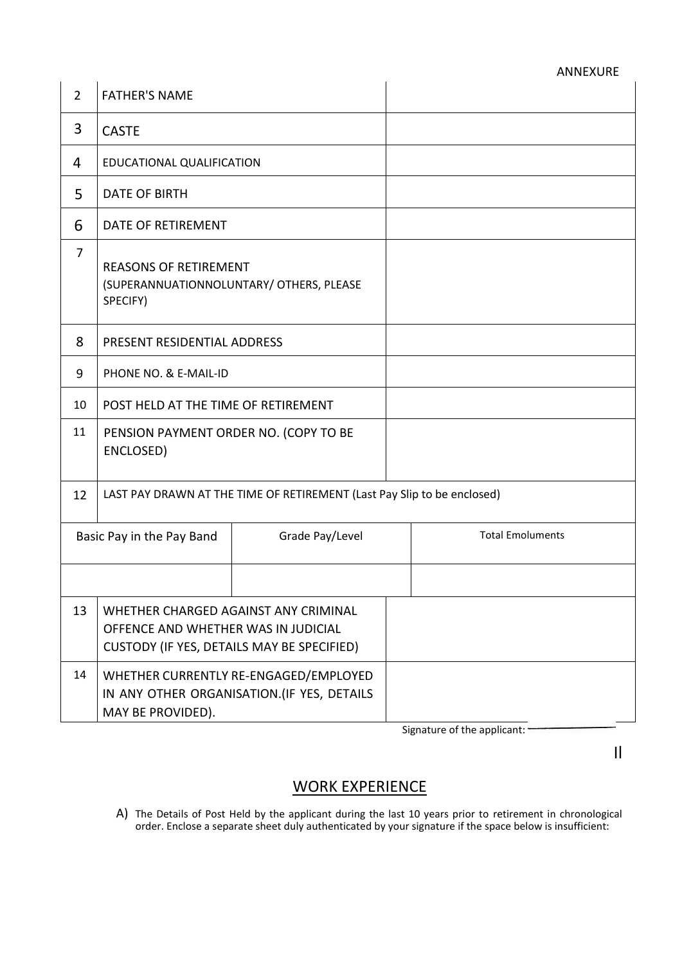| $\overline{2}$ | <b>FATHER'S NAME</b>                                                                                                      |                 |  |                         |
|----------------|---------------------------------------------------------------------------------------------------------------------------|-----------------|--|-------------------------|
| 3              | <b>CASTE</b>                                                                                                              |                 |  |                         |
| 4              | EDUCATIONAL QUALIFICATION                                                                                                 |                 |  |                         |
| 5              | <b>DATE OF BIRTH</b>                                                                                                      |                 |  |                         |
| 6              | DATE OF RETIREMENT                                                                                                        |                 |  |                         |
| $\overline{7}$ | <b>REASONS OF RETIREMENT</b><br>(SUPERANNUATIONNOLUNTARY/ OTHERS, PLEASE<br>SPECIFY)                                      |                 |  |                         |
| 8              | PRESENT RESIDENTIAL ADDRESS                                                                                               |                 |  |                         |
| 9              | PHONE NO. & E-MAIL-ID                                                                                                     |                 |  |                         |
| 10             | POST HELD AT THE TIME OF RETIREMENT                                                                                       |                 |  |                         |
| 11             | PENSION PAYMENT ORDER NO. (COPY TO BE<br>ENCLOSED)                                                                        |                 |  |                         |
| 12             | LAST PAY DRAWN AT THE TIME OF RETIREMENT (Last Pay Slip to be enclosed)                                                   |                 |  |                         |
|                | Basic Pay in the Pay Band                                                                                                 | Grade Pay/Level |  | <b>Total Emoluments</b> |
|                |                                                                                                                           |                 |  |                         |
| 13             | WHETHER CHARGED AGAINST ANY CRIMINAL<br>OFFENCE AND WHETHER WAS IN JUDICIAL<br>CUSTODY (IF YES, DETAILS MAY BE SPECIFIED) |                 |  |                         |
| 14             | WHETHER CURRENTLY RE-ENGAGED/EMPLOYED<br>IN ANY OTHER ORGANISATION. (IF YES, DETAILS<br>MAY BE PROVIDED).                 |                 |  |                         |

Signature of the applicant:

Il

# WORK EXPERIENCE

A) The Details of Post Held by the applicant during the last 10 years prior to retirement in chronological order. Enclose a separate sheet duly authenticated by your signature if the space below is insufficient: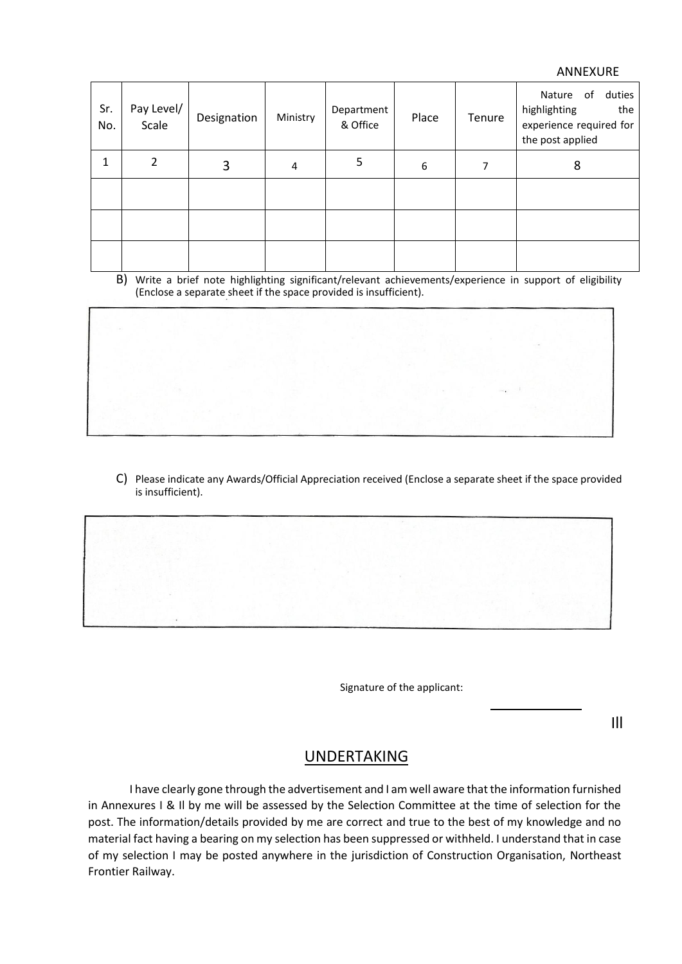#### ANNEXURE

| Sr.<br>No. | Pay Level/<br>Scale | Designation | Ministry | Department<br>& Office | Place | Tenure | duties<br>Nature of<br>highlighting<br>the<br>experience required for<br>the post applied |
|------------|---------------------|-------------|----------|------------------------|-------|--------|-------------------------------------------------------------------------------------------|
| 1          | $\overline{2}$      | 3           | 4        | 5                      | 6     | 7      | 8                                                                                         |
|            |                     |             |          |                        |       |        |                                                                                           |
|            |                     |             |          |                        |       |        |                                                                                           |
|            |                     |             |          |                        |       |        |                                                                                           |

B) Write a brief note highlighting significant/relevant achievements/experience in support of eligibility (Enclose a separate sheet if the space provided is insufficient).

C) Please indicate any Awards/Official Appreciation received (Enclose a separate sheet if the space provided is insufficient).

Signature of the applicant:

Ill

# UNDERTAKING

I have clearly gone through the advertisement and I am well aware that the information furnished in Annexures I & Il by me will be assessed by the Selection Committee at the time of selection for the post. The information/details provided by me are correct and true to the best of my knowledge and no material fact having a bearing on my selection has been suppressed or withheld. I understand that in case of my selection I may be posted anywhere in the jurisdiction of Construction Organisation, Northeast Frontier Railway.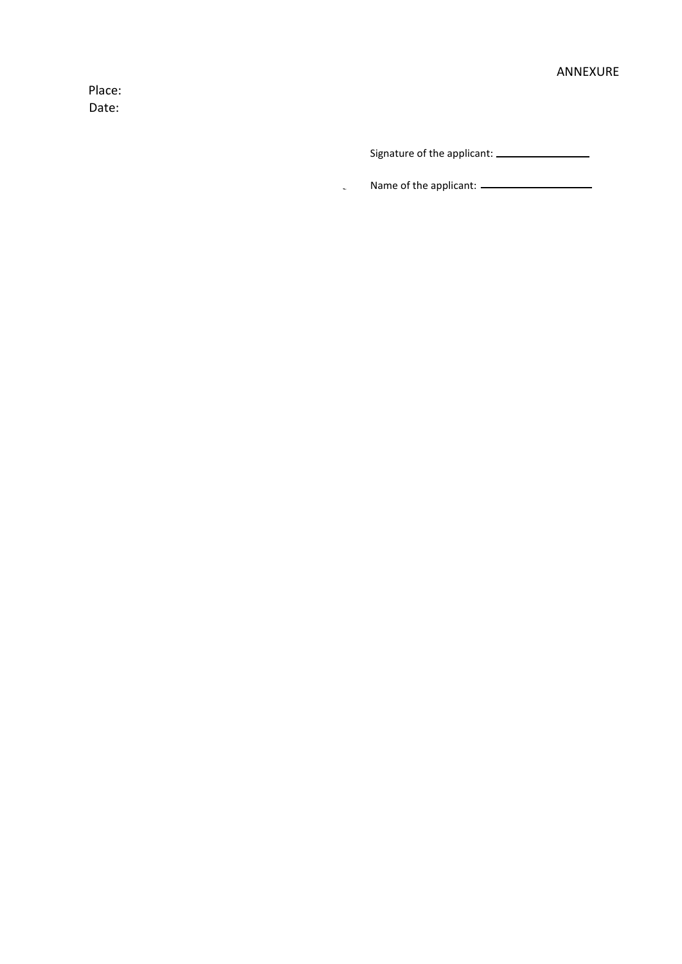Place: Date:

Signature of the applicant:

Name of the applicant:  $\frac{1}{1}$  = 0.000 mm  $\mathcal{L}$